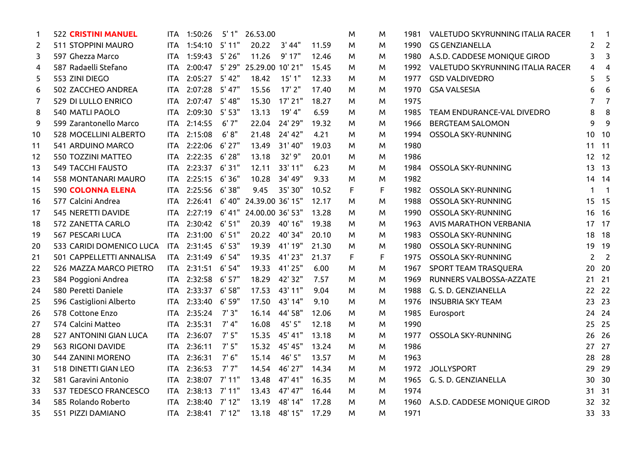| 1  | <b>522 CRISTINI MANUEL</b>   | ITA.       | 1:50:26        | 5'1"     | 26.53.00                      |          |       | M | M  | 1981 | VALETUDO SKYRUNNING ITALIA RACER | $\mathbf 1$    | 1                        |
|----|------------------------------|------------|----------------|----------|-------------------------------|----------|-------|---|----|------|----------------------------------|----------------|--------------------------|
| 2  | 511 STOPPINI MAURO           | ITA.       | 1:54:10 5'11"  |          | 20.22                         | 3' 44"   | 11.59 | M | M  | 1990 | <b>GS GENZIANELLA</b>            | $\overline{2}$ | $\overline{2}$           |
| 3  | 597 Ghezza Marco             | <b>ITA</b> | 1:59:43 5'26"  |          | 11.26                         | 9'17"    | 12.46 | м | M  | 1980 | A.S.D. CADDESE MONIQUE GIROD     | 3              | 3                        |
| 4  | 587 Radaelli Stefano         | <b>ITA</b> |                |          | 2:00:47 5'29" 25.29.00 10'21" |          | 15.45 | м | M  | 1992 | VALETUDO SKYRUNNING ITALIA RACER | 4              | $\overline{4}$           |
| 5  | 553 ZINI DIEGO               | <b>ITA</b> | 2:05:27 5'42"  |          | 18.42                         | 15'1"    | 12.33 | м | м  | 1977 | <b>GSD VALDIVEDRO</b>            | 5              | 5                        |
| 6  | 502 ZACCHEO ANDREA           | <b>ITA</b> | 2:07:28        | 5' 47"   | 15.56                         | $17'$ 2" | 17.40 | м | м  | 1970 | <b>GSA VALSESIA</b>              | 6              | 6                        |
| 7  | 529 DI LULLO ENRICO          | <b>ITA</b> | 2:07:47        | 5' 48"   | 15.30                         | 17' 21"  | 18.27 | м | M  | 1975 |                                  | 7              | $\overline{7}$           |
| 8  | <b>540 MATLI PAOLO</b>       | <b>ITA</b> | 2:09:30        | 5'53"    | 13.13                         | 19' 4"   | 6.59  | M | M  | 1985 | TEAM ENDURANCE-VAL DIVEDRO       | 8              | 8                        |
| 9  | 599 Zarantonello Marco       | <b>ITA</b> | 2:14:55        | 6'7''    | 22.04                         | 24' 29"  | 19.32 | м | M  | 1966 | <b>BERGTEAM SALOMON</b>          | 9              | 9                        |
| 10 | <b>528 MOCELLINI ALBERTO</b> | ITA.       | 2:15:08        | 6' 8''   | 21.48                         | 24' 42"  | 4.21  | м | M  | 1994 | OSSOLA SKY-RUNNING               | 10             | 10                       |
| 11 | 541 ARDUINO MARCO            | ITA.       | 2:22:06        | $6'$ 27" | 13.49                         | 31'40"   | 19.03 | м | M  | 1980 |                                  |                | 11 11                    |
| 12 | 550 TOZZINI MATTEO           | <b>ITA</b> | 2:22:35        | 6'28''   | 13.18                         | 32' 9"   | 20.01 | м | M  | 1986 |                                  |                | 12 12                    |
| 13 | <b>549 TACCHI FAUSTO</b>     | <b>ITA</b> | 2:23:37        | 6'31"    | 12.11                         | 33' 11"  | 6.23  | м | M  | 1984 | OSSOLA SKY-RUNNING               | 13             | 13                       |
| 14 | <b>558 MONTANARI MAURO</b>   | ITA.       | 2:25:15        | 6'36"    | 10.28                         | 34' 49"  | 9.33  | м | M  | 1982 |                                  | 14             | 14                       |
| 15 | <b>590 COLONNA ELENA</b>     | ITA.       | 2:25:56        | 6'38"    | 9.45                          | 35' 30"  | 10.52 | F | F. | 1982 | OSSOLA SKY-RUNNING               | 1              | $\overline{\phantom{1}}$ |
| 16 | 577 Calcini Andrea           | <b>ITA</b> | 2:26:41        | 6' 40"   | 24.39.00 36' 15"              |          | 12.17 | M | M  | 1988 | OSSOLA SKY-RUNNING               |                | 15 15                    |
| 17 | 545 NERETTI DAVIDE           | ITA        | 2:27:19        |          | 6'41" 24.00.00 36'53"         |          | 13.28 | м | M  | 1990 | OSSOLA SKY-RUNNING               |                | 16 16                    |
| 18 | 572 ZANETTA CARLO            | ITA.       | 2:30:42 6' 51" |          | 20.39                         | 40' 16"  | 19.38 | м | м  | 1963 | <b>AVIS MARATHON VERBANIA</b>    |                | 17 17                    |
| 19 | 567 PESCARI LUCA             | ITA.       | 2:31:00 6'51"  |          | 20.22                         | 40' 34"  | 20.10 | м | м  | 1983 | OSSOLA SKY-RUNNING               |                | 18 18                    |
| 20 | 533 CARIDI DOMENICO LUCA     | <b>ITA</b> | 2:31:45        | 6' 53"   | 19.39                         | 41' 19"  | 21.30 | м | M  | 1980 | OSSOLA SKY-RUNNING               | 19             | 19                       |
| 21 | 501 CAPPELLETTI ANNALISA     | ITA.       | 2:31:49        | 6'54"    | 19.35                         | 41'23"   | 21.37 | F | F. | 1975 | OSSOLA SKY-RUNNING               | $\overline{2}$ | $\overline{2}$           |
| 22 | 526 MAZZA MARCO PIETRO       | ITA.       | 2:31:51        | 6' 54"   | 19.33                         | 41'25"   | 6.00  | м | M  | 1967 | SPORT TEAM TRASQUERA             | 20             | - 20                     |
| 23 | 584 Poggioni Andrea          | ITA.       | 2:32:58        | 6' 57"   | 18.29                         | 42' 32"  | 7.57  | М | M  | 1969 | RUNNERS VALBOSSA-AZZATE          | 21             | 21                       |
| 24 | 580 Peretti Daniele          | ITA        | 2:33:37        | 6'58"    | 17.53                         | 43' 11"  | 9.04  | м | M  | 1988 | G. S. D. GENZIANELLA             |                | 22 22                    |
| 25 | 596 Castiglioni Alberto      | ITA        | 2:33:40        | 6' 59"   | 17.50                         | 43' 14"  | 9.10  | м | M  | 1976 | <b>INSUBRIA SKY TEAM</b>         |                | 23 23                    |
| 26 | 578 Cottone Enzo             | ITA.       | 2:35:24        | 7'3''    | 16.14                         | 44' 58"  | 12.06 | м | M  | 1985 | Eurosport                        |                | 24 24                    |
| 27 | 574 Calcini Matteo           | <b>ITA</b> | 2:35:31        | 7' 4''   | 16.08                         | 45' 5"   | 12.18 | м | M  | 1990 |                                  |                | 25 25                    |
| 28 | 527 ANTONINI GIAN LUCA       | ITA        | 2:36:07        | 7'5''    | 15.35                         | 45' 41"  | 13.18 | м | M  | 1977 | OSSOLA SKY-RUNNING               | 26             | 26                       |
| 29 | 563 RIGONI DAVIDE            | ITA.       | 2:36:11        | 7'5''    | 15.32                         | 45' 45"  | 13.24 | м | M  | 1986 |                                  | 27             | 27                       |
| 30 | 544 ZANINI MORENO            | <b>ITA</b> | 2:36:31        | 7'6''    | 15.14                         | 46' 5"   | 13.57 | м | M  | 1963 |                                  | 28             | 28                       |
| 31 | 518 DINETTI GIAN LEO         | ITA        | 2:36:53        | 7'7''    | 14.54                         | 46' 27"  | 14.34 | м | M  | 1972 | <b>JOLLYSPORT</b>                | 29             | 29                       |
| 32 | 581 Garavini Antonio         | ITA.       | 2:38:07        | 7' 11"   | 13.48                         | 47' 41"  | 16.35 | м | M  | 1965 | G. S. D. GENZIANELLA             |                | 30 30                    |
| 33 | 537 TEDESCO FRANCESCO        | ITA.       | 2:38:13        | 7'11"    | 13.43                         | 47' 47"  | 16.44 | м | M  | 1974 |                                  |                | 31 31                    |
| 34 | 585 Rolando Roberto          | <b>ITA</b> | 2:38:40        | 7'12"    | 13.19                         | 48' 14"  | 17.28 | М | M  | 1960 | A.S.D. CADDESE MONIQUE GIROD     |                | 32 32                    |
| 35 | 551 PIZZI DAMIANO            | ITA        | 2:38:41        | 7'12"    | 13.18                         | 48' 15"  | 17.29 | м | M  | 1971 |                                  |                | 33 33                    |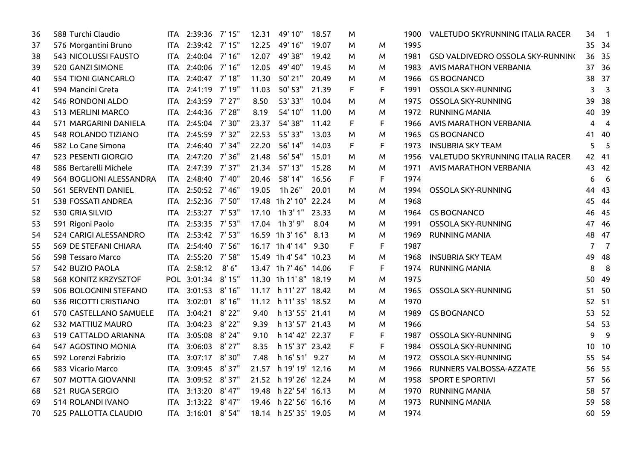| 36 | 588 Turchi Claudio          | ITA.       | 2:39:36           | 7' 15"   | 12.31 | 49' 10"                 | 18.57 | M |    | 1900 | VALETUDO SKYRUNNING ITALIA RACER  | 34             | $\overline{\phantom{1}}$ |
|----|-----------------------------|------------|-------------------|----------|-------|-------------------------|-------|---|----|------|-----------------------------------|----------------|--------------------------|
| 37 | 576 Morgantini Bruno        |            | ITA 2:39:42 7'15" |          | 12.25 | 49' 16"                 | 19.07 | M | M  | 1995 |                                   |                | 35 34                    |
| 38 | <b>543 NICOLUSSI FAUSTO</b> | ITA.       | 2:40:04 7'16"     |          | 12.07 | 49' 38"                 | 19.42 | м | M  | 1981 | GSD VALDIVEDRO OSSOLA SKY-RUNNING |                | 36 35                    |
| 39 | 520 GANZI SIMONE            | ITA.       | 2:40:06 7'16"     |          | 12.05 | 49' 40"                 | 19.45 | м | M  | 1983 | <b>AVIS MARATHON VERBANIA</b>     |                | 37 36                    |
| 40 | <b>554 TIONI GIANCARLO</b>  |            | ITA 2:40:47 7'18" |          | 11.30 | 50' 21"                 | 20.49 | м | M  | 1966 | <b>GS BOGNANCO</b>                |                | 38 37                    |
| 41 | 594 Mancini Greta           | <b>ITA</b> | 2:41:19           | 7' 19"   | 11.03 | 50' 53"                 | 21.39 | F | F. | 1991 | OSSOLA SKY-RUNNING                | 3              | $\overline{\mathbf{3}}$  |
| 42 | 546 RONDONI ALDO            | ITA.       | 2:43:59 7'27"     |          | 8.50  | 53' 33"                 | 10.04 | м | M  | 1975 | OSSOLA SKY-RUNNING                | 39             | 38                       |
| 43 | 513 MERLINI MARCO           |            | ITA 2:44:36       | 7' 28"   | 8.19  | 54' 10"                 | 11.00 | м | M  | 1972 | <b>RUNNING MANIA</b>              |                | 40 39                    |
| 44 | 571 MARGARINI DANIELA       | ITA        | 2:45:04 7'30"     |          | 23.37 | 54' 38"                 | 11.42 | F | F  | 1966 | <b>AVIS MARATHON VERBANIA</b>     | 4              | $\overline{\mathbf{4}}$  |
| 45 | <b>548 ROLANDO TIZIANO</b>  | <b>ITA</b> | 2:45:59 7'32"     |          | 22.53 | 55' 33"                 | 13.03 | M | M  | 1965 | <b>GS BOGNANCO</b>                |                | 41 40                    |
| 46 | 582 Lo Cane Simona          | ITA        | 2:46:40 7'34"     |          | 22.20 | 56' 14"                 | 14.03 | F | F  | 1973 | <b>INSUBRIA SKY TEAM</b>          | 5              | - 5                      |
| 47 | 523 PESENTI GIORGIO         |            | ITA 2:47:20 7'36" |          | 21.48 | 56' 54"                 | 15.01 | M | M  | 1956 | VALETUDO SKYRUNNING ITALIA RACER  |                | 42 41                    |
| 48 | 586 Bertarelli Michele      | <b>ITA</b> | 2:47:39 7'37"     |          | 21.34 | 57' 13"                 | 15.28 | м | M  | 1971 | <b>AVIS MARATHON VERBANIA</b>     |                | 43 42                    |
| 49 | 564 BOGLIONI ALESSANDRA     | ITA.       | 2:48:40           | 7' 40"   | 20.46 | 58' 14"                 | 16.56 | F | F  | 1974 |                                   | 6              | - 6                      |
| 50 | 561 SERVENTI DANIEL         |            | ITA 2:50:52 7'46" |          | 19.05 | 1h 26"                  | 20.01 | м | M  | 1994 | OSSOLA SKY-RUNNING                |                | 44 43                    |
| 51 | 538 FOSSATI ANDREA          | <b>ITA</b> | 2:52:36 7'50"     |          |       | 17.48 1h 2' 10"         | 22.24 | M | M  | 1968 |                                   |                | 45 44                    |
| 52 | 530 GRIA SILVIO             | ITA        | 2:53:27 7'53"     |          |       | $17.10$ 1h 3'1"         | 23.33 | м | M  | 1964 | <b>GS BOGNANCO</b>                |                | 46 45                    |
| 53 | 591 Rigoni Paolo            |            | ITA 2:53:35 7'53" |          |       | 17.04 1h 3'9"           | 8.04  | M | M  | 1991 | OSSOLA SKY-RUNNING                |                | 47 46                    |
| 54 | 524 CARIGI ALESSANDRO       | ITA        | 2:53:42 7'53"     |          |       | 16.59 1h 3' 16"         | 8.13  | M | M  | 1969 | <b>RUNNING MANIA</b>              |                | 48 47                    |
| 55 | 569 DE STEFANI CHIARA       | ITA        | 2:54:40           | 7' 56"   |       | 16.17 1h 4' 14"         | 9.30  | F | F. | 1987 |                                   | $\overline{7}$ | $\overline{7}$           |
| 56 | 598 Tessaro Marco           |            | ITA 2:55:20       | 7' 58"   |       | 15.49 1h 4' 54" 10.23   |       | м | M  | 1968 | <b>INSUBRIA SKY TEAM</b>          |                | 49 48                    |
| 57 | 542 BUZIO PAOLA             |            | ITA 2:58:12       | 8'6''    |       | 13.47 1h 7' 46" 14.06   |       | F | F  | 1974 | <b>RUNNING MANIA</b>              | 8              | - 8                      |
| 58 | <b>568 KONITZ KRZYSZTOF</b> |            | POL 3:01:34       | 8' 15"   |       | 11.30 1h 11'8" 18.19    |       | M | M  | 1975 |                                   | 50             | -49                      |
| 59 | 506 BOLOGNINI STEFANO       | ITA.       | 3:01:53 8'16"     |          |       | 11.17 lh 11' 27' 18.42  |       | м | M  | 1965 | OSSOLA SKY-RUNNING                | 51             | - 50                     |
| 60 | 536 RICOTTI CRISTIANO       |            | ITA 3:02:01       | 8'16''   |       | 11.12   h 11' 35' 18.52 |       | M | M  | 1970 |                                   |                | 52 51                    |
| 61 | 570 CASTELLANO SAMUELE      | ITA.       | 3:04:21           | 8'22"    |       | 9.40   h 13' 55' 21.41  |       | M | M  | 1989 | <b>GS BOGNANCO</b>                |                | 53 52                    |
| 62 | 532 MATTIUZ MAURO           | <b>ITA</b> | 3:04:23           | 8' 22"   | 9.39  | lh 13' 57' 21.43        |       | M | M  | 1966 |                                   |                | 54 53                    |
| 63 | 519 CATTALDO ARIANNA        |            | ITA 3:05:08       | 8' 24"   | 9.10  | lh 14' 42' 22.37        |       | F | F. | 1987 | OSSOLA SKY-RUNNING                | 9              | - 9                      |
| 64 | 547 AGOSTINO MONIA          | ITA.       | 3:06:03           | $8'$ 27" |       | 8.35   h 15' 37' 23.42  |       | F | F  | 1984 | OSSOLA SKY-RUNNING                |                | 10 10                    |
| 65 | 592 Lorenzi Fabrizio        | <b>ITA</b> | 3:07:17           | 8'30"    |       | 7.48   h 16' 51' 9.27   |       | M | M  | 1972 | OSSOLA SKY-RUNNING                |                | 55 54                    |
| 66 | 583 Vicario Marco           | ITA        | 3:09:45           | 8'37"    |       | 21.57 lh 19' 19' 12.16  |       | м | M  | 1966 | RUNNERS VALBOSSA-AZZATE           |                | 56 55                    |
| 67 | 507 MOTTA GIOVANNI          | ITA        | 3:09:52 8'37"     |          |       | 21.52 lh 19' 26' 12.24  |       | M | M  | 1958 | <b>SPORT E SPORTIVI</b>           |                | 57 56                    |
| 68 | 521 RUGA SERGIO             | ITA        | 3:13:20           | 8' 47"   |       | 19.48 lh 22' 54' 16.13  |       | м | M  | 1970 | <b>RUNNING MANIA</b>              |                | 58 57                    |
| 69 | 514 ROLANDI IVANO           | <b>ITA</b> | 3:13:22 8'47"     |          |       | 19.46 lh 22' 56' 16.16  |       | м | M  | 1973 | <b>RUNNING MANIA</b>              |                | 59 58                    |
| 70 | 525 PALLOTTA CLAUDIO        |            | ITA 3:16:01       | 8' 54"   |       | 18.14 lh 25' 35' 19.05  |       | м | м  | 1974 |                                   |                | 60 59                    |